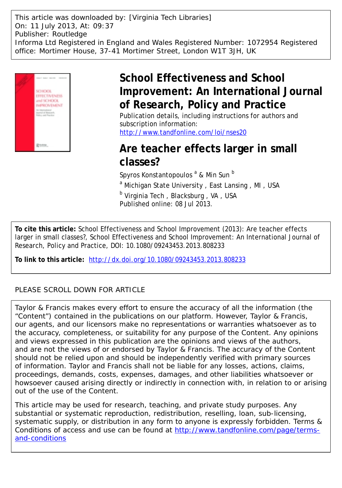This article was downloaded by: [Virginia Tech Libraries] On: 11 July 2013, At: 09:37 Publisher: Routledge Informa Ltd Registered in England and Wales Registered Number: 1072954 Registered office: Mortimer House, 37-41 Mortimer Street, London W1T 3JH, UK



# **School Effectiveness and School Improvement: An International Journal of Research, Policy and Practice**

Publication details, including instructions for authors and subscription information: <http://www.tandfonline.com/loi/nses20>

# **Are teacher effects larger in small classes?**

Spyros Konstantopoulos <sup>a</sup> & Min Sun <sup>b</sup>

<sup>a</sup> Michigan State University, East Lansing, MI, USA

<sup>b</sup> Virginia Tech, Blacksburg, VA, USA Published online: 08 Jul 2013.

**To cite this article:** School Effectiveness and School Improvement (2013): Are teacher effects larger in small classes?, School Effectiveness and School Improvement: An International Journal of Research, Policy and Practice, DOI: 10.1080/09243453.2013.808233

**To link to this article:** <http://dx.doi.org/10.1080/09243453.2013.808233>

# PLEASE SCROLL DOWN FOR ARTICLE

Taylor & Francis makes every effort to ensure the accuracy of all the information (the "Content") contained in the publications on our platform. However, Taylor & Francis, our agents, and our licensors make no representations or warranties whatsoever as to the accuracy, completeness, or suitability for any purpose of the Content. Any opinions and views expressed in this publication are the opinions and views of the authors, and are not the views of or endorsed by Taylor & Francis. The accuracy of the Content should not be relied upon and should be independently verified with primary sources of information. Taylor and Francis shall not be liable for any losses, actions, claims, proceedings, demands, costs, expenses, damages, and other liabilities whatsoever or howsoever caused arising directly or indirectly in connection with, in relation to or arising out of the use of the Content.

This article may be used for research, teaching, and private study purposes. Any substantial or systematic reproduction, redistribution, reselling, loan, sub-licensing, systematic supply, or distribution in any form to anyone is expressly forbidden. Terms & Conditions of access and use can be found at [http://www.tandfonline.com/page/terms](http://www.tandfonline.com/page/terms-and-conditions)[and-conditions](http://www.tandfonline.com/page/terms-and-conditions)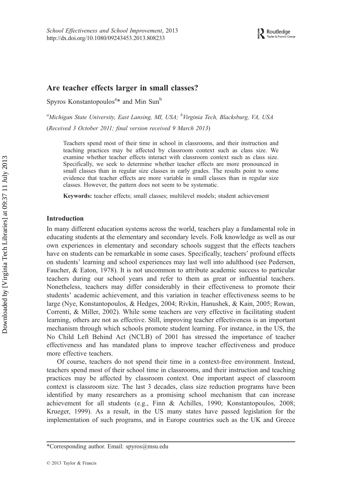## Are teacher effects larger in small classes?

Spyros Konstantopoulos<sup>a\*</sup> and Min Sun<sup>b</sup>

<sup>a</sup>Michigan State University, East Lansing, MI, USA; <sup>b</sup>Virginia Tech, Blacksburg, VA, USA

(Received 3 October 2011; final version received 9 March 2013)

Teachers spend most of their time in school in classrooms, and their instruction and teaching practices may be affected by classroom context such as class size. We examine whether teacher effects interact with classroom context such as class size. Specifically, we seek to determine whether teacher effects are more pronounced in small classes than in regular size classes in early grades. The results point to some evidence that teacher effects are more variable in small classes than in regular size classes. However, the pattern does not seem to be systematic.

Keywords: teacher effects; small classes; multilevel models; student achievement

#### Introduction

In many different education systems across the world, teachers play a fundamental role in educating students at the elementary and secondary levels. Folk knowledge as well as our own experiences in elementary and secondary schools suggest that the effects teachers have on students can be remarkable in some cases. Specifically, teachers' profound effects on students' learning and school experiences may last well into adulthood (see Pedersen, Faucher, & Eaton, 1978). It is not uncommon to attribute academic success to particular teachers during our school years and refer to them as great or influential teachers. Nonetheless, teachers may differ considerably in their effectiveness to promote their students' academic achievement, and this variation in teacher effectiveness seems to be large (Nye, Konstantopoulos, & Hedges, 2004; Rivkin, Hanushek, & Kain, 2005; Rowan, Correnti, & Miller, 2002). While some teachers are very effective in facilitating student learning, others are not as effective. Still, improving teacher effectiveness is an important mechanism through which schools promote student learning. For instance, in the US, the No Child Left Behind Act (NCLB) of 2001 has stressed the importance of teacher effectiveness and has mandated plans to improve teacher effectiveness and produce more effective teachers.

Of course, teachers do not spend their time in a context-free environment. Instead, teachers spend most of their school time in classrooms, and their instruction and teaching practices may be affected by classroom context. One important aspect of classroom context is classroom size. The last 3 decades, class size reduction programs have been identified by many researchers as a promising school mechanism that can increase achievement for all students (e.g., Finn & Achilles, 1990; Konstantopoulos, 2008; Krueger, 1999). As a result, in the US many states have passed legislation for the implementation of such programs, and in Europe countries such as the UK and Greece

<sup>\*</sup>Corresponding author. Email: spyros@msu.edu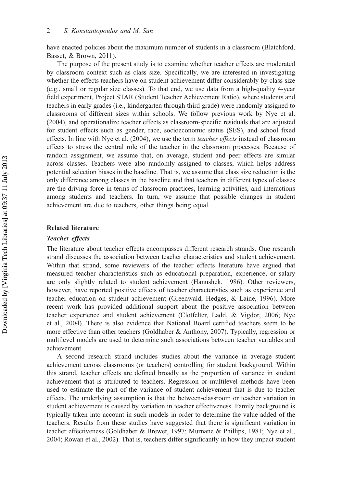have enacted policies about the maximum number of students in a classroom (Blatchford, Basset, & Brown, 2011).

The purpose of the present study is to examine whether teacher effects are moderated by classroom context such as class size. Specifically, we are interested in investigating whether the effects teachers have on student achievement differ considerably by class size (e.g., small or regular size classes). To that end, we use data from a high-quality 4-year field experiment, Project STAR (Student Teacher Achievement Ratio), where students and teachers in early grades (i.e., kindergarten through third grade) were randomly assigned to classrooms of different sizes within schools. We follow previous work by Nye et al. (2004), and operationalize teacher effects as classroom-specific residuals that are adjusted for student effects such as gender, race, socioeconomic status (SES), and school fixed effects. In line with Nye et al. (2004), we use the term *teacher effects* instead of classroom effects to stress the central role of the teacher in the classroom processes. Because of random assignment, we assume that, on average, student and peer effects are similar across classes. Teachers were also randomly assigned to classes, which helps address potential selection biases in the baseline. That is, we assume that class size reduction is the only difference among classes in the baseline and that teachers in different types of classes are the driving force in terms of classroom practices, learning activities, and interactions among students and teachers. In turn, we assume that possible changes in student achievement are due to teachers, other things being equal.

#### Related literature

#### Teacher effects

The literature about teacher effects encompasses different research strands. One research strand discusses the association between teacher characteristics and student achievement. Within that strand, some reviewers of the teacher effects literature have argued that measured teacher characteristics such as educational preparation, experience, or salary are only slightly related to student achievement (Hanushek, 1986). Other reviewers, however, have reported positive effects of teacher characteristics such as experience and teacher education on student achievement (Greenwald, Hedges, & Laine, 1996). More recent work has provided additional support about the positive association between teacher experience and student achievement (Clotfelter, Ladd, & Vigdor, 2006; Nye et al., 2004). There is also evidence that National Board certified teachers seem to be more effective than other teachers (Goldhaber & Anthony, 2007). Typically, regression or multilevel models are used to determine such associations between teacher variables and achievement.

A second research strand includes studies about the variance in average student achievement across classrooms (or teachers) controlling for student background. Within this strand, teacher effects are defined broadly as the proportion of variance in student achievement that is attributed to teachers. Regression or multilevel methods have been used to estimate the part of the variance of student achievement that is due to teacher effects. The underlying assumption is that the between-classroom or teacher variation in student achievement is caused by variation in teacher effectiveness. Family background is typically taken into account in such models in order to determine the value added of the teachers. Results from these studies have suggested that there is significant variation in teacher effectiveness (Goldhaber & Brewer, 1997; Murnane & Phillips, 1981; Nye et al., 2004; Rowan et al., 2002). That is, teachers differ significantly in how they impact student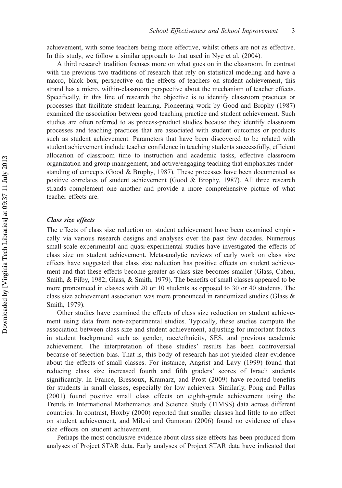achievement, with some teachers being more effective, whilst others are not as effective. In this study, we follow a similar approach to that used in Nye et al. (2004).

A third research tradition focuses more on what goes on in the classroom. In contrast with the previous two traditions of research that rely on statistical modeling and have a macro, black box, perspective on the effects of teachers on student achievement, this strand has a micro, within-classroom perspective about the mechanism of teacher effects. Specifically, in this line of research the objective is to identify classroom practices or processes that facilitate student learning. Pioneering work by Good and Brophy (1987) examined the association between good teaching practice and student achievement. Such studies are often referred to as process-product studies because they identify classroom processes and teaching practices that are associated with student outcomes or products such as student achievement. Parameters that have been discovered to be related with student achievement include teacher confidence in teaching students successfully, efficient allocation of classroom time to instruction and academic tasks, effective classroom organization and group management, and active/engaging teaching that emphasizes understanding of concepts (Good & Brophy, 1987). These processes have been documented as positive correlates of student achievement (Good & Brophy, 1987). All three research strands complement one another and provide a more comprehensive picture of what teacher effects are.

#### Class size effects

The effects of class size reduction on student achievement have been examined empirically via various research designs and analyses over the past few decades. Numerous small-scale experimental and quasi-experimental studies have investigated the effects of class size on student achievement. Meta-analytic reviews of early work on class size effects have suggested that class size reduction has positive effects on student achievement and that these effects become greater as class size becomes smaller (Glass, Cahen, Smith, & Filby, 1982; Glass, & Smith, 1979). The benefits of small classes appeared to be more pronounced in classes with 20 or 10 students as opposed to 30 or 40 students. The class size achievement association was more pronounced in randomized studies (Glass & Smith, 1979).

Other studies have examined the effects of class size reduction on student achievement using data from non-experimental studies. Typically, these studies compute the association between class size and student achievement, adjusting for important factors in student background such as gender, race/ethnicity, SES, and previous academic achievement. The interpretation of these studies' results has been controversial because of selection bias. That is, this body of research has not yielded clear evidence about the effects of small classes. For instance, Angrist and Lavy (1999) found that reducing class size increased fourth and fifth graders' scores of Israeli students significantly. In France, Bressoux, Kramarz, and Prost (2009) have reported benefits for students in small classes, especially for low achievers. Similarly, Pong and Pallas (2001) found positive small class effects on eighth-grade achievement using the Trends in International Mathematics and Science Study (TIMSS) data across different countries. In contrast, Hoxby (2000) reported that smaller classes had little to no effect on student achievement, and Milesi and Gamoran (2006) found no evidence of class size effects on student achievement.

Perhaps the most conclusive evidence about class size effects has been produced from analyses of Project STAR data. Early analyses of Project STAR data have indicated that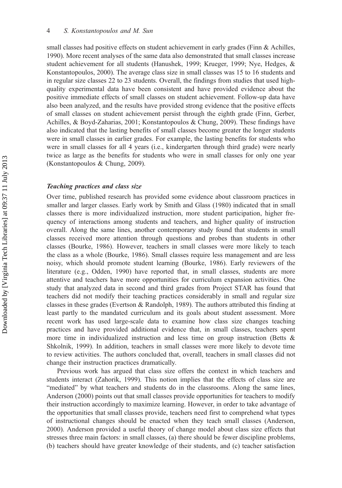small classes had positive effects on student achievement in early grades (Finn & Achilles, 1990). More recent analyses of the same data also demonstrated that small classes increase student achievement for all students (Hanushek, 1999; Krueger, 1999; Nye, Hedges, & Konstantopoulos, 2000). The average class size in small classes was 15 to 16 students and in regular size classes 22 to 23 students. Overall, the findings from studies that used highquality experimental data have been consistent and have provided evidence about the positive immediate effects of small classes on student achievement. Follow-up data have also been analyzed, and the results have provided strong evidence that the positive effects of small classes on student achievement persist through the eighth grade (Finn, Gerber, Achilles, & Boyd-Zaharias, 2001; Konstantopoulos & Chung, 2009). These findings have also indicated that the lasting benefits of small classes become greater the longer students were in small classes in earlier grades. For example, the lasting benefits for students who were in small classes for all 4 years (i.e., kindergarten through third grade) were nearly twice as large as the benefits for students who were in small classes for only one year (Konstantopoulos & Chung, 2009).

#### Teaching practices and class size

Over time, published research has provided some evidence about classroom practices in smaller and larger classes. Early work by Smith and Glass (1980) indicated that in small classes there is more individualized instruction, more student participation, higher frequency of interactions among students and teachers, and higher quality of instruction overall. Along the same lines, another contemporary study found that students in small classes received more attention through questions and probes than students in other classes (Bourke, 1986). However, teachers in small classes were more likely to teach the class as a whole (Bourke, 1986). Small classes require less management and are less noisy, which should promote student learning (Bourke, 1986). Early reviewers of the literature (e.g., Odden, 1990) have reported that, in small classes, students are more attentive and teachers have more opportunities for curriculum expansion activities. One study that analyzed data in second and third grades from Project STAR has found that teachers did not modify their teaching practices considerably in small and regular size classes in these grades (Evertson & Randolph, 1989). The authors attributed this finding at least partly to the mandated curriculum and its goals about student assessment. More recent work has used large-scale data to examine how class size changes teaching practices and have provided additional evidence that, in small classes, teachers spent more time in individualized instruction and less time on group instruction (Betts & Shkolnik, 1999). In addition, teachers in small classes were more likely to devote time to review activities. The authors concluded that, overall, teachers in small classes did not change their instruction practices dramatically.

Previous work has argued that class size offers the context in which teachers and students interact (Zahorik, 1999). This notion implies that the effects of class size are "mediated" by what teachers and students do in the classrooms. Along the same lines, Anderson (2000) points out that small classes provide opportunities for teachers to modify their instruction accordingly to maximize learning. However, in order to take advantage of the opportunities that small classes provide, teachers need first to comprehend what types of instructional changes should be enacted when they teach small classes (Anderson, 2000). Anderson provided a useful theory of change model about class size effects that stresses three main factors: in small classes, (a) there should be fewer discipline problems, (b) teachers should have greater knowledge of their students, and (c) teacher satisfaction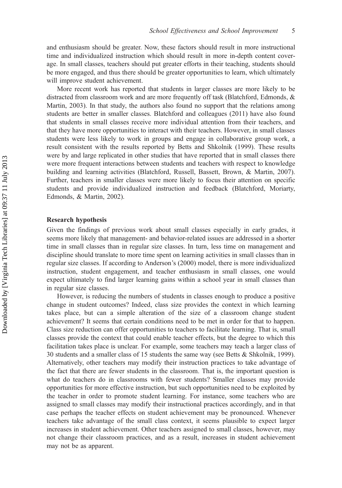and enthusiasm should be greater. Now, these factors should result in more instructional time and individualized instruction which should result in more in-depth content coverage. In small classes, teachers should put greater efforts in their teaching, students should be more engaged, and thus there should be greater opportunities to learn, which ultimately will improve student achievement.

More recent work has reported that students in larger classes are more likely to be distracted from classroom work and are more frequently off task (Blatchford, Edmonds, & Martin, 2003). In that study, the authors also found no support that the relations among students are better in smaller classes. Blatchford and colleagues (2011) have also found that students in small classes receive more individual attention from their teachers, and that they have more opportunities to interact with their teachers. However, in small classes students were less likely to work in groups and engage in collaborative group work, a result consistent with the results reported by Betts and Shkolnik (1999). These results were by and large replicated in other studies that have reported that in small classes there were more frequent interactions between students and teachers with respect to knowledge building and learning activities (Blatchford, Russell, Bassett, Brown, & Martin, 2007). Further, teachers in smaller classes were more likely to focus their attention on specific students and provide individualized instruction and feedback (Blatchford, Moriarty, Edmonds, & Martin, 2002).

#### Research hypothesis

Given the findings of previous work about small classes especially in early grades, it seems more likely that management- and behavior-related issues are addressed in a shorter time in small classes than in regular size classes. In turn, less time on management and discipline should translate to more time spent on learning activities in small classes than in regular size classes. If according to Anderson's (2000) model, there is more individualized instruction, student engagement, and teacher enthusiasm in small classes, one would expect ultimately to find larger learning gains within a school year in small classes than in regular size classes.

However, is reducing the numbers of students in classes enough to produce a positive change in student outcomes? Indeed, class size provides the context in which learning takes place, but can a simple alteration of the size of a classroom change student achievement? It seems that certain conditions need to be met in order for that to happen. Class size reduction can offer opportunities to teachers to facilitate learning. That is, small classes provide the context that could enable teacher effects, but the degree to which this facilitation takes place is unclear. For example, some teachers may teach a larger class of 30 students and a smaller class of 15 students the same way (see Betts & Shkolnik, 1999). Alternatively, other teachers may modify their instruction practices to take advantage of the fact that there are fewer students in the classroom. That is, the important question is what do teachers do in classrooms with fewer students? Smaller classes may provide opportunities for more effective instruction, but such opportunities need to be exploited by the teacher in order to promote student learning. For instance, some teachers who are assigned to small classes may modify their instructional practices accordingly, and in that case perhaps the teacher effects on student achievement may be pronounced. Whenever teachers take advantage of the small class context, it seems plausible to expect larger increases in student achievement. Other teachers assigned to small classes, however, may not change their classroom practices, and as a result, increases in student achievement may not be as apparent.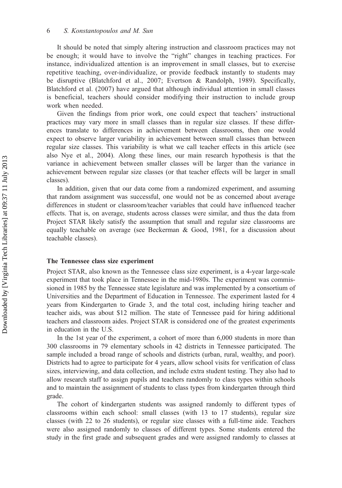It should be noted that simply altering instruction and classroom practices may not be enough; it would have to involve the "right" changes in teaching practices. For instance, individualized attention is an improvement in small classes, but to exercise repetitive teaching, over-individualize, or provide feedback instantly to students may be disruptive (Blatchford et al., 2007; Evertson & Randolph, 1989). Specifically, Blatchford et al. (2007) have argued that although individual attention in small classes is beneficial, teachers should consider modifying their instruction to include group work when needed.

Given the findings from prior work, one could expect that teachers' instructional practices may vary more in small classes than in regular size classes. If these differences translate to differences in achievement between classrooms, then one would expect to observe larger variability in achievement between small classes than between regular size classes. This variability is what we call teacher effects in this article (see also Nye et al., 2004). Along these lines, our main research hypothesis is that the variance in achievement between smaller classes will be larger than the variance in achievement between regular size classes (or that teacher effects will be larger in small classes).

In addition, given that our data come from a randomized experiment, and assuming that random assignment was successful, one would not be as concerned about average differences in student or classroom/teacher variables that could have influenced teacher effects. That is, on average, students across classes were similar, and thus the data from Project STAR likely satisfy the assumption that small and regular size classrooms are equally teachable on average (see Beckerman & Good, 1981, for a discussion about teachable classes).

#### The Tennessee class size experiment

Project STAR, also known as the Tennessee class size experiment, is a 4-year large-scale experiment that took place in Tennessee in the mid-1980s. The experiment was commissioned in 1985 by the Tennessee state legislature and was implemented by a consortium of Universities and the Department of Education in Tennessee. The experiment lasted for 4 years from Kindergarten to Grade 3, and the total cost, including hiring teacher and teacher aids, was about \$12 million. The state of Tennessee paid for hiring additional teachers and classroom aides. Project STAR is considered one of the greatest experiments in education in the U.S.

In the 1st year of the experiment, a cohort of more than 6,000 students in more than 300 classrooms in 79 elementary schools in 42 districts in Tennessee participated. The sample included a broad range of schools and districts (urban, rural, wealthy, and poor). Districts had to agree to participate for 4 years, allow school visits for verification of class sizes, interviewing, and data collection, and include extra student testing. They also had to allow research staff to assign pupils and teachers randomly to class types within schools and to maintain the assignment of students to class types from kindergarten through third grade.

The cohort of kindergarten students was assigned randomly to different types of classrooms within each school: small classes (with 13 to 17 students), regular size classes (with 22 to 26 students), or regular size classes with a full-time aide. Teachers were also assigned randomly to classes of different types. Some students entered the study in the first grade and subsequent grades and were assigned randomly to classes at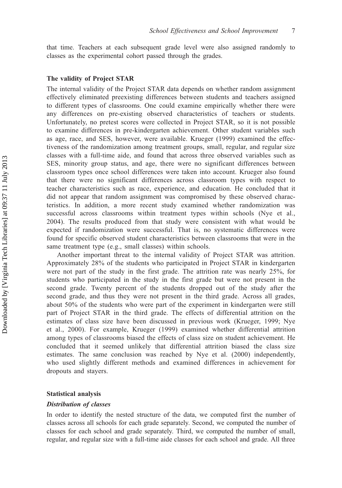that time. Teachers at each subsequent grade level were also assigned randomly to classes as the experimental cohort passed through the grades.

#### The validity of Project STAR

The internal validity of the Project STAR data depends on whether random assignment effectively eliminated preexisting differences between students and teachers assigned to different types of classrooms. One could examine empirically whether there were any differences on pre-existing observed characteristics of teachers or students. Unfortunately, no pretest scores were collected in Project STAR, so it is not possible to examine differences in pre-kindergarten achievement. Other student variables such as age, race, and SES, however, were available. Krueger (1999) examined the effectiveness of the randomization among treatment groups, small, regular, and regular size classes with a full-time aide, and found that across three observed variables such as SES, minority group status, and age, there were no significant differences between classroom types once school differences were taken into account. Krueger also found that there were no significant differences across classroom types with respect to teacher characteristics such as race, experience, and education. He concluded that it did not appear that random assignment was compromised by these observed characteristics. In addition, a more recent study examined whether randomization was successful across classrooms within treatment types within schools (Nye et al., 2004). The results produced from that study were consistent with what would be expected if randomization were successful. That is, no systematic differences were found for specific observed student characteristics between classrooms that were in the same treatment type (e.g., small classes) within schools.

Another important threat to the internal validity of Project STAR was attrition. Approximately 28% of the students who participated in Project STAR in kindergarten were not part of the study in the first grade. The attrition rate was nearly 25%, for students who participated in the study in the first grade but were not present in the second grade. Twenty percent of the students dropped out of the study after the second grade, and thus they were not present in the third grade. Across all grades, about 50% of the students who were part of the experiment in kindergarten were still part of Project STAR in the third grade. The effects of differential attrition on the estimates of class size have been discussed in previous work (Krueger, 1999; Nye et al., 2000). For example, Krueger (1999) examined whether differential attrition among types of classrooms biased the effects of class size on student achievement. He concluded that it seemed unlikely that differential attrition biased the class size estimates. The same conclusion was reached by Nye et al. (2000) independently, who used slightly different methods and examined differences in achievement for dropouts and stayers.

#### Statistical analysis

### Distribution of classes

In order to identify the nested structure of the data, we computed first the number of classes across all schools for each grade separately. Second, we computed the number of classes for each school and grade separately. Third, we computed the number of small, regular, and regular size with a full-time aide classes for each school and grade. All three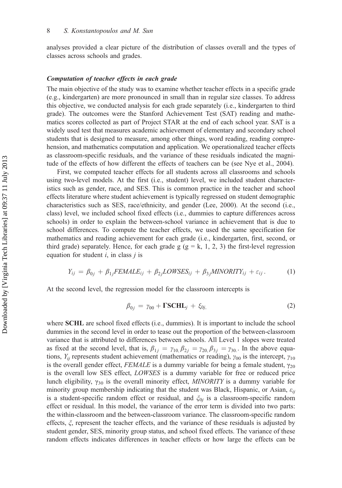analyses provided a clear picture of the distribution of classes overall and the types of classes across schools and grades.

#### Computation of teacher effects in each grade

The main objective of the study was to examine whether teacher effects in a specific grade (e.g., kindergarten) are more pronounced in small than in regular size classes. To address this objective, we conducted analysis for each grade separately (i.e., kindergarten to third grade). The outcomes were the Stanford Achievement Test (SAT) reading and mathematics scores collected as part of Project STAR at the end of each school year. SAT is a widely used test that measures academic achievement of elementary and secondary school students that is designed to measure, among other things, word reading, reading comprehension, and mathematics computation and application. We operationalized teacher effects as classroom-specific residuals, and the variance of these residuals indicated the magnitude of the effects of how different the effects of teachers can be (see Nye et al., 2004).

First, we computed teacher effects for all students across all classrooms and schools using two-level models. At the first (i.e., student) level, we included student characteristics such as gender, race, and SES. This is common practice in the teacher and school effects literature where student achievement is typically regressed on student demographic characteristics such as SES, race/ethnicity, and gender (Lee, 2000). At the second (i.e., class) level, we included school fixed effects (i.e., dummies to capture differences across schools) in order to explain the between-school variance in achievement that is due to school differences. To compute the teacher effects, we used the same specification for mathematics and reading achievement for each grade (i.e., kindergarten, first, second, or third grade) separately. Hence, for each grade g ( $g = k$ , 1, 2, 3) the first-level regression equation for student  $i$ , in class  $j$  is

$$
Y_{ij} = \beta_{0j} + \beta_{1j} FEMALE_{ij} + \beta_{2j} LOWSES_{ij} + \beta_{3j} MINORITY_{ij} + \varepsilon_{ij}.
$$
 (1)

At the second level, the regression model for the classroom intercepts is

$$
\beta_{0j} = \gamma_{00} + \text{TSCHL}_j + \xi_{0j},\tag{2}
$$

where **SCHL** are school fixed effects (i.e., dummies). It is important to include the school dummies in the second level in order to tease out the proportion of the between-classroom variance that is attributed to differences between schools. All Level 1 slopes were treated as fixed at the second level, that is,  $\beta_{1j} = \gamma_{10}$ ,  $\beta_{2j} = \gamma_{20}$ ,  $\beta_{3j} = \gamma_{30}$ . In the above equations,  $Y_{ii}$  represents student achievement (mathematics or reading),  $\gamma_{00}$  is the intercept,  $\gamma_{10}$ is the overall gender effect, FEMALE is a dummy variable for being a female student,  $\gamma_{20}$ is the overall low SES effect, LOWSES is a dummy variable for free or reduced price lunch eligibility,  $\gamma_{30}$  is the overall minority effect, MINORITY is a dummy variable for minority group membership indicating that the student was Black, Hispanic, or Asian,  $\varepsilon_{ij}$ is a student-specific random effect or residual, and  $\xi_{0j}$  is a classroom-specific random effect or residual. In this model, the variance of the error term is divided into two parts: the within-classroom and the between-classroom variance. The classroom-specific random effects,  $\xi$ , represent the teacher effects, and the variance of these residuals is adjusted by student gender, SES, minority group status, and school fixed effects. The variance of these random effects indicates differences in teacher effects or how large the effects can be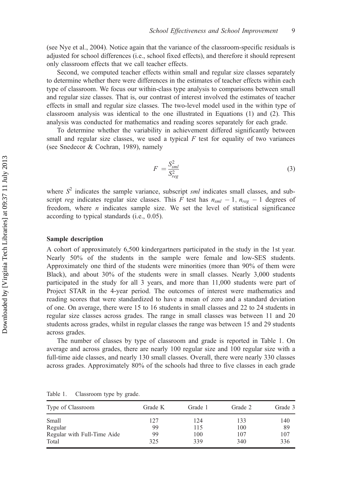(see Nye et al., 2004). Notice again that the variance of the classroom-specific residuals is adjusted for school differences (i.e., school fixed effects), and therefore it should represent only classroom effects that we call teacher effects.

Second, we computed teacher effects within small and regular size classes separately to determine whether there were differences in the estimates of teacher effects within each type of classroom. We focus our within-class type analysis to comparisons between small and regular size classes. That is, our contrast of interest involved the estimates of teacher effects in small and regular size classes. The two-level model used in the within type of classroom analysis was identical to the one illustrated in Equations (1) and (2). This analysis was conducted for mathematics and reading scores separately for each grade.

To determine whether the variability in achievement differed significantly between small and regular size classes, we used a typical  $F$  test for equality of two variances (see Snedecor & Cochran, 1989), namely

$$
F = \frac{S_{sml}^2}{S_{reg}^2} \tag{3}
$$

where  $S^2$  indicates the sample variance, subscript sml indicates small classes, and subscript reg indicates regular size classes. This F test has  $n_{sml} - 1$ ,  $n_{reg} - 1$  degrees of freedom, where  $n$  indicates sample size. We set the level of statistical significance according to typical standards (i.e., 0.05).

#### Sample description

A cohort of approximately 6,500 kindergartners participated in the study in the 1st year. Nearly 50% of the students in the sample were female and low-SES students. Approximately one third of the students were minorities (more than 90% of them were Black), and about 30% of the students were in small classes. Nearly 3,000 students participated in the study for all 3 years, and more than 11,000 students were part of Project STAR in the 4-year period. The outcomes of interest were mathematics and reading scores that were standardized to have a mean of zero and a standard deviation of one. On average, there were 15 to 16 students in small classes and 22 to 24 students in regular size classes across grades. The range in small classes was between 11 and 20 students across grades, whilst in regular classes the range was between 15 and 29 students across grades.

The number of classes by type of classroom and grade is reported in Table 1. On average and across grades, there are nearly 100 regular size and 100 regular size with a full-time aide classes, and nearly 130 small classes. Overall, there were nearly 330 classes across grades. Approximately 80% of the schools had three to five classes in each grade

| Type of Classroom           | Grade K | Grade 1 | Grade 2 | Grade 3 |
|-----------------------------|---------|---------|---------|---------|
| Small                       | 127     | 124     | 133     | 140     |
| Regular                     | 99      | 115     | 100     | 89      |
| Regular with Full-Time Aide | 99      | 100     | 107     | 107     |
| Total                       | 325     | 339     | 340     | 336     |

Table 1. Classroom type by grade.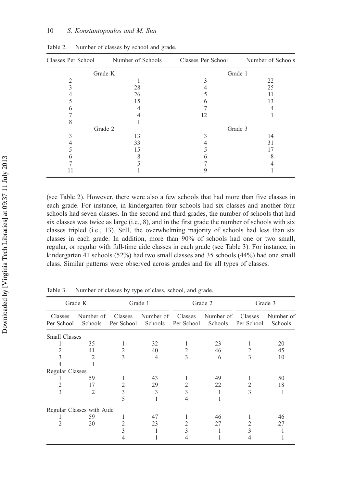| Classes Per School | Number of Schools | Classes Per School | Number of Schools |
|--------------------|-------------------|--------------------|-------------------|
|                    | Grade K           |                    | Grade 1           |
|                    |                   |                    | 22                |
|                    | 28                |                    | 25                |
|                    | 26                |                    | 11                |
|                    | 15                |                    | 13                |
|                    |                   |                    |                   |
|                    |                   | 12                 |                   |
|                    |                   |                    |                   |
|                    | Grade 2           |                    | Grade 3           |
|                    | 13                |                    | 14                |
|                    | 33                |                    | 31                |
|                    | 15                |                    | 17                |
|                    |                   |                    |                   |
|                    |                   |                    |                   |
|                    |                   |                    |                   |

Table 2. Number of classes by school and grade.

(see Table 2). However, there were also a few schools that had more than five classes in each grade. For instance, in kindergarten four schools had six classes and another four schools had seven classes. In the second and third grades, the number of schools that had six classes was twice as large (i.e., 8), and in the first grade the number of schools with six classes tripled (i.e., 13). Still, the overwhelming majority of schools had less than six classes in each grade. In addition, more than 90% of schools had one or two small, regular, or regular with full-time aide classes in each grade (see Table 3). For instance, in kindergarten 41 schools (52%) had two small classes and 35 schools (44%) had one small class. Similar patterns were observed across grades and for all types of classes.

Table 3. Number of classes by type of class, school, and grade.

|                       | Grade K                   |                       | Grade 1                      |            | Grade 2              |                       | Grade 3              |
|-----------------------|---------------------------|-----------------------|------------------------------|------------|----------------------|-----------------------|----------------------|
| Classes<br>Per School | Number of<br>Schools      | Classes<br>Per School | Number of Classes<br>Schools | Per School | Number of<br>Schools | Classes<br>Per School | Number of<br>Schools |
| <b>Small Classes</b>  |                           |                       |                              |            |                      |                       |                      |
|                       | 35                        |                       | 32                           |            | 23                   |                       | 20                   |
|                       | 41                        | 2                     | 40                           |            | 46                   |                       | 45                   |
|                       | 2                         | 3                     | 4                            | 3          | 6                    | $\mathcal{E}$         | 10                   |
|                       |                           |                       |                              |            |                      |                       |                      |
| Regular Classes       |                           |                       |                              |            |                      |                       |                      |
|                       | 59                        |                       | 43                           |            | 49                   |                       | 50                   |
|                       | 17                        | $\mathfrak{D}$        | 29                           |            | 22                   | 2                     | 18                   |
| 3                     | $\mathfrak{D}$            | 3                     | 3                            |            |                      | 3                     |                      |
|                       |                           | 5                     |                              |            |                      |                       |                      |
|                       | Regular Classes with Aide |                       |                              |            |                      |                       |                      |
|                       | 59                        |                       | 47                           |            | 46                   |                       | 46                   |
|                       | 20                        | 2                     | 23                           |            | 27                   |                       | 27                   |
|                       |                           |                       |                              |            |                      |                       |                      |
|                       |                           |                       |                              |            |                      |                       |                      |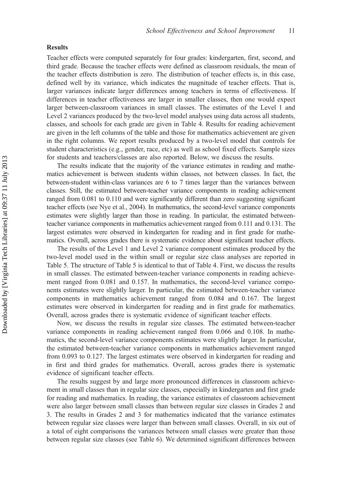### Results

Teacher effects were computed separately for four grades: kindergarten, first, second, and third grade. Because the teacher effects were defined as classroom residuals, the mean of the teacher effects distribution is zero. The distribution of teacher effects is, in this case, defined well by its variance, which indicates the magnitude of teacher effects. That is, larger variances indicate larger differences among teachers in terms of effectiveness. If differences in teacher effectiveness are larger in smaller classes, then one would expect larger between-classroom variances in small classes. The estimates of the Level 1 and Level 2 variances produced by the two-level model analyses using data across all students, classes, and schools for each grade are given in Table 4. Results for reading achievement are given in the left columns of the table and those for mathematics achievement are given in the right columns. We report results produced by a two-level model that controls for student characteristics (e.g., gender, race, etc) as well as school fixed effects. Sample sizes for students and teachers/classes are also reported. Below, we discuss the results.

The results indicate that the majority of the variance estimates in reading and mathematics achievement is between students within classes, not between classes. In fact, the between-student within-class variances are 6 to 7 times larger than the variances between classes. Still, the estimated between-teacher variance components in reading achievement ranged from 0.081 to 0.110 and were significantly different than zero suggesting significant teacher effects (see Nye et al., 2004). In mathematics, the second-level variance components estimates were slightly larger than those in reading. In particular, the estimated betweenteacher variance components in mathematics achievement ranged from 0.111 and 0.131. The largest estimates were observed in kindergarten for reading and in first grade for mathematics. Overall, across grades there is systematic evidence about significant teacher effects.

The results of the Level 1 and Level 2 variance component estimates produced by the two-level model used in the within small or regular size class analyses are reported in Table 5. The structure of Table 5 is identical to that of Table 4. First, we discuss the results in small classes. The estimated between-teacher variance components in reading achievement ranged from 0.081 and 0.157. In mathematics, the second-level variance components estimates were slightly larger. In particular, the estimated between-teacher variance components in mathematics achievement ranged from 0.084 and 0.167. The largest estimates were observed in kindergarten for reading and in first grade for mathematics. Overall, across grades there is systematic evidence of significant teacher effects.

Now, we discuss the results in regular size classes. The estimated between-teacher variance components in reading achievement ranged from 0.066 and 0.108. In mathematics, the second-level variance components estimates were slightly larger. In particular, the estimated between-teacher variance components in mathematics achievement ranged from 0.093 to 0.127. The largest estimates were observed in kindergarten for reading and in first and third grades for mathematics. Overall, across grades there is systematic evidence of significant teacher effects.

The results suggest by and large more pronounced differences in classroom achievement in small classes than in regular size classes, especially in kindergarten and first grade for reading and mathematics. In reading, the variance estimates of classroom achievement were also larger between small classes than between regular size classes in Grades 2 and 3. The results in Grades 2 and 3 for mathematics indicated that the variance estimates between regular size classes were larger than between small classes. Overall, in six out of a total of eight comparisons the variances between small classes were greater than those between regular size classes (see Table 6). We determined significant differences between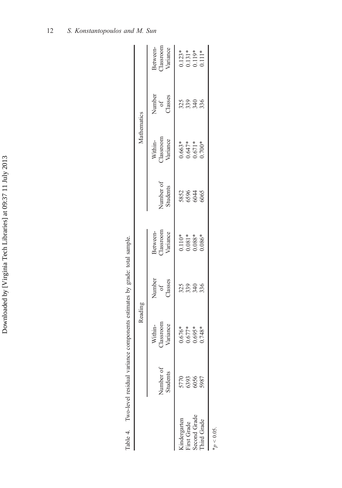|                                             |                       | Reading                              |                         |                                                                                 |                       | Mathematics                            |                         |                                                                                    |
|---------------------------------------------|-----------------------|--------------------------------------|-------------------------|---------------------------------------------------------------------------------|-----------------------|----------------------------------------|-------------------------|------------------------------------------------------------------------------------|
|                                             | Number of<br>Students | Within-<br>Classroom<br>Variance     | Number<br>of<br>Classes | Between-<br>Classroom<br>Variance                                               | Number of<br>Students | Within-<br>Classroom<br>Variance       | Number<br>of<br>Classes | Between-<br>Classroom<br>Variance                                                  |
|                                             |                       |                                      |                         | $\begin{array}{l} 0.110^{*} \\ 0.081^{*} \\ 0.088^{*} \\ 0.086^{*} \end{array}$ |                       |                                        |                         |                                                                                    |
|                                             |                       |                                      |                         |                                                                                 |                       |                                        |                         |                                                                                    |
| Kindergarten<br>First Grade<br>Second Grade | 5770<br>5393<br>5087  | 0.676*<br>0.677*<br>0.695*<br>0.748* | 2290<br>23428           |                                                                                 | 585455                | $0.663*$<br>0.647*<br>0.671*<br>0.700* | 229<br>23426            | $\begin{array}{c} 0.123^* \\ 0.131^* \\ 0.119^* \\ 0.111^* \\ 0.111^* \end{array}$ |
| <b>hird</b> Grade                           |                       |                                      |                         |                                                                                 |                       |                                        |                         |                                                                                    |
| < 0.05                                      |                       |                                      |                         |                                                                                 |                       |                                        |                         |                                                                                    |

Two-level residual variance components estimates by grade: total sample. Table 4. Two-level residual variance components estimates by grade: total sample. Table 4.

12 S. Konstantopoulos and M. Sun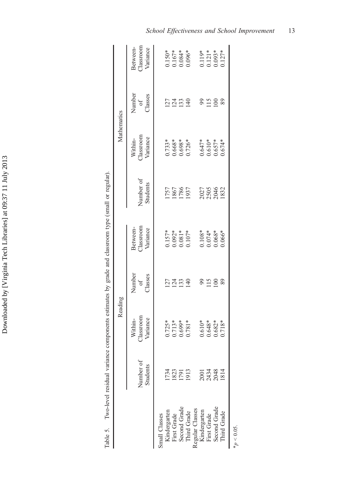|                                                | Table 5. Two-level residual variance components estimates by grade and classroom type (small or regular) |                                              |                         |                                                                     |                              |                                              |                         |                                              |
|------------------------------------------------|----------------------------------------------------------------------------------------------------------|----------------------------------------------|-------------------------|---------------------------------------------------------------------|------------------------------|----------------------------------------------|-------------------------|----------------------------------------------|
|                                                |                                                                                                          | Reading                                      |                         |                                                                     |                              | Mathematics                                  |                         |                                              |
|                                                | Number of<br>Students                                                                                    | Within-<br>Classroom<br>Variance             | Number<br>of<br>Classes | Classroom<br>Variance<br>Between-                                   | Number of<br>Students        | Within-<br>Classroom<br>Variance             | Number<br>of<br>Classes | Classroom<br>Variance<br>Between-            |
| Kindergarten<br>Small Classes                  | .734                                                                                                     |                                              |                         |                                                                     |                              |                                              |                         |                                              |
| First Grade                                    | 1823                                                                                                     |                                              | 124<br>125<br>125       |                                                                     | 1757<br>1867<br>1987<br>1937 |                                              | 124<br>125<br>125       |                                              |
| Second Grade                                   | 191                                                                                                      |                                              |                         |                                                                     |                              |                                              |                         |                                              |
| Third Grade                                    | 1913                                                                                                     | $0.725*$<br>$0.713*$<br>$0.699*$<br>$0.781*$ |                         | $\begin{array}{l} 0.157* \\ 0.092* \\ 0.081* \\ 0.107* \end{array}$ |                              | 0.733*<br>0.668*<br>0.698*<br>0.726*         |                         | 0.150*<br>0.167*<br>0.084*                   |
|                                                |                                                                                                          |                                              |                         |                                                                     |                              |                                              |                         |                                              |
| Regular Classes<br>Kindergarten<br>First Grade |                                                                                                          |                                              | 99                      |                                                                     |                              |                                              |                         |                                              |
|                                                | 2013<br>2013<br>2018<br>2014                                                                             | $0.610*$<br>0.648*<br>0.682*<br>0.718*       | 115                     | $0.108$ *<br>$0.074$ *<br>$0.068$ *<br>$0.066$ *                    | 2027<br>2505<br>2832         | $0.647*$<br>$0.610*$<br>$0.657*$<br>$0.657*$ | 8128                    | $0.119*$<br>$0.121*$<br>$0.093*$<br>$0.127*$ |
| Second Grade                                   |                                                                                                          |                                              | $\approx$               |                                                                     |                              |                                              |                         |                                              |
| hird Grade                                     |                                                                                                          |                                              | 89                      |                                                                     |                              |                                              |                         |                                              |
|                                                |                                                                                                          |                                              |                         |                                                                     |                              |                                              |                         |                                              |

|   | ī<br>j<br><b>.</b><br>5<br>ļ<br>١<br>l<br>l<br>ś                                         |
|---|------------------------------------------------------------------------------------------|
|   |                                                                                          |
|   | i                                                                                        |
|   | .<br>Contractor<br>֚֚֓<br>ć<br>١<br>j<br>¢<br>֖֖֖֧ׅ֚֚֚֚֚֚֚֚֚֚֚֚֚֚֚֚֚֚֚֚֚֚֚֚֚֚֚֚֚֚֚֬֝֡֡֓֞ |
|   | is out<br> <br> <br>                                                                     |
|   | c<br>C<br>١                                                                              |
|   | and contact<br>١                                                                         |
|   | í<br>֚֘֝֬<br>Į                                                                           |
|   | š<br>Str<br>Š<br>is an an international<br>$\ddot{\phantom{0}}$                          |
|   | l                                                                                        |
|   | í<br>ı<br>i<br>l<br>l                                                                    |
|   | i<br>l<br>$N/O_{-1}$<br>E<br>í                                                           |
| Ì | $\dot{\gamma}$<br>d<br>ï<br>ă<br>ŀ<br>ï                                                  |

 $*_{p}$  < 0.05.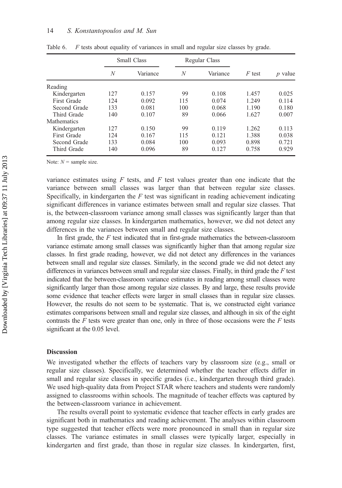|                    |     | Small Class |     | Regular Class |          |           |
|--------------------|-----|-------------|-----|---------------|----------|-----------|
|                    | N   | Variance    | N   | Variance      | $F$ test | $p$ value |
| Reading            |     |             |     |               |          |           |
| Kindergarten       | 127 | 0.157       | 99  | 0.108         | 1.457    | 0.025     |
| First Grade        | 124 | 0.092       | 115 | 0.074         | 1.249    | 0.114     |
| Second Grade       | 133 | 0.081       | 100 | 0.068         | 1.190    | 0.180     |
| Third Grade        | 140 | 0.107       | 89  | 0.066         | 1.627    | 0.007     |
| <b>Mathematics</b> |     |             |     |               |          |           |
| Kindergarten       | 127 | 0.150       | 99  | 0.119         | 1.262    | 0.113     |
| First Grade        | 124 | 0.167       | 115 | 0.121         | 1.388    | 0.038     |
| Second Grade       | 133 | 0.084       | 100 | 0.093         | 0.898    | 0.721     |
| Third Grade        | 140 | 0.096       | 89  | 0.127         | 0.758    | 0.929     |

Table 6. F tests about equality of variances in small and regular size classes by grade.

Note:  $N =$  sample size.

variance estimates using  $F$  tests, and  $F$  test values greater than one indicate that the variance between small classes was larger than that between regular size classes. Specifically, in kindergarten the  $F$  test was significant in reading achievement indicating significant differences in variance estimates between small and regular size classes. That is, the between-classroom variance among small classes was significantly larger than that among regular size classes. In kindergarten mathematics, however, we did not detect any differences in the variances between small and regular size classes.

In first grade, the  $F$  test indicated that in first-grade mathematics the between-classroom variance estimate among small classes was significantly higher than that among regular size classes. In first grade reading, however, we did not detect any differences in the variances between small and regular size classes. Similarly, in the second grade we did not detect any differences in variances between small and regular size classes. Finally, in third grade the  $F$  test indicated that the between-classroom variance estimates in reading among small classes were significantly larger than those among regular size classes. By and large, these results provide some evidence that teacher effects were larger in small classes than in regular size classes. However, the results do not seem to be systematic. That is, we constructed eight variance estimates comparisons between small and regular size classes, and although in six of the eight contrasts the  $F$  tests were greater than one, only in three of those occasions were the  $F$  tests significant at the 0.05 level.

#### **Discussion**

We investigated whether the effects of teachers vary by classroom size (e.g., small or regular size classes). Specifically, we determined whether the teacher effects differ in small and regular size classes in specific grades (i.e., kindergarten through third grade). We used high-quality data from Project STAR where teachers and students were randomly assigned to classrooms within schools. The magnitude of teacher effects was captured by the between-classroom variance in achievement.

The results overall point to systematic evidence that teacher effects in early grades are significant both in mathematics and reading achievement. The analyses within classroom type suggested that teacher effects were more pronounced in small than in regular size classes. The variance estimates in small classes were typically larger, especially in kindergarten and first grade, than those in regular size classes. In kindergarten, first,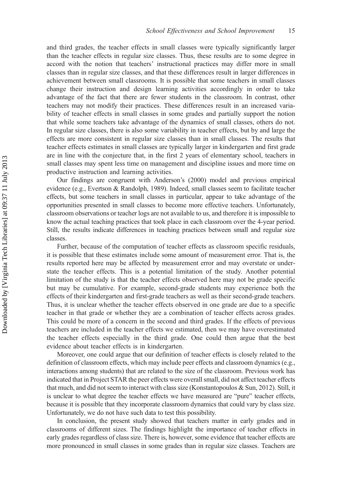and third grades, the teacher effects in small classes were typically significantly larger than the teacher effects in regular size classes. Thus, these results are to some degree in accord with the notion that teachers' instructional practices may differ more in small classes than in regular size classes, and that these differences result in larger differences in achievement between small classrooms. It is possible that some teachers in small classes change their instruction and design learning activities accordingly in order to take advantage of the fact that there are fewer students in the classroom. In contrast, other teachers may not modify their practices. These differences result in an increased variability of teacher effects in small classes in some grades and partially support the notion that while some teachers take advantage of the dynamics of small classes, others do not. In regular size classes, there is also some variability in teacher effects, but by and large the effects are more consistent in regular size classes than in small classes. The results that teacher effects estimates in small classes are typically larger in kindergarten and first grade are in line with the conjecture that, in the first 2 years of elementary school, teachers in small classes may spent less time on management and discipline issues and more time on productive instruction and learning activities.

Our findings are congruent with Anderson's (2000) model and previous empirical evidence (e.g., Evertson & Randolph, 1989). Indeed, small classes seem to facilitate teacher effects, but some teachers in small classes in particular, appear to take advantage of the opportunities presented in small classes to become more effective teachers. Unfortunately, classroom observations or teacher logs are not available to us, and therefore it is impossible to know the actual teaching practices that took place in each classroom over the 4-year period. Still, the results indicate differences in teaching practices between small and regular size classes.

Further, because of the computation of teacher effects as classroom specific residuals, it is possible that these estimates include some amount of measurement error. That is, the results reported here may be affected by measurement error and may overstate or understate the teacher effects. This is a potential limitation of the study. Another potential limitation of the study is that the teacher effects observed here may not be grade specific but may be cumulative. For example, second-grade students may experience both the effects of their kindergarten and first-grade teachers as well as their second-grade teachers. Thus, it is unclear whether the teacher effects observed in one grade are due to a specific teacher in that grade or whether they are a combination of teacher effects across grades. This could be more of a concern in the second and third grades. If the effects of previous teachers are included in the teacher effects we estimated, then we may have overestimated the teacher effects especially in the third grade. One could then argue that the best evidence about teacher effects is in kindergarten.

Moreover, one could argue that our definition of teacher effects is closely related to the definition of classroom effects, which may include peer effects and classroom dynamics (e.g., interactions among students) that are related to the size of the classroom. Previous work has indicated that in Project STAR the peer effects were overall small, did not affect teacher effects that much, and did not seem to interact with class size (Konstantopoulos  $\&$  Sun, 2012). Still, it is unclear to what degree the teacher effects we have measured are "pure" teacher effects, because it is possible that they incorporate classroom dynamics that could vary by class size. Unfortunately, we do not have such data to test this possibility.

In conclusion, the present study showed that teachers matter in early grades and in classrooms of different sizes. The findings highlight the importance of teacher effects in early grades regardless of class size. There is, however, some evidence that teacher effects are more pronounced in small classes in some grades than in regular size classes. Teachers are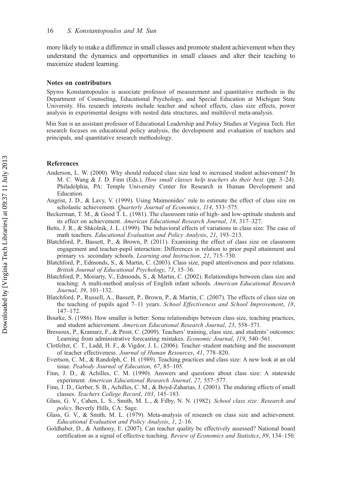more likely to make a difference in small classes and promote student achievement when they understand the dynamics and opportunities in small classes and alter their teaching to maximize student learning.

#### Notes on contributors

Spyros Konstantopoulos is associate professor of measurement and quantitative methods in the Department of Counseling, Educational Psychology, and Special Education at Michigan State University. His research interests include teacher and school effects, class size effects, power analysis in experimental designs with nested data structures, and multilevel meta-analysis.

Min Sun is an assistant professor of Educational Leadership and Policy Studies at Virginia Tech. Her research focuses on educational policy analysis, the development and evaluation of teachers and principals, and quantitative research methodology.

#### References

- Anderson, L. W. (2000). Why should reduced class size lead to increased student achievement? In M. C. Wang & J. D. Finn (Eds.), How small classes help teachers do their best. (pp. 3–24). Philadelphia, PA: Temple University Center for Research in Human Development and Education.
- Angrist, J. D., & Lavy, V. (1999). Using Maimonides' rule to estimate the effect of class size on scholastic achievement. Quarterly Journal of Economics, 114, 533-575.
- Beckerman, T. M., & Good T. L. (1981). The classroom ratio of high- and low-aptitude students and its effect on achievement. American Educational Research Journal, 18, 317–327.
- Betts, J. R., & Shkolnik, J. L. (1999). The behavioral effects of variations in class size: The case of math teachers. Educational Evaluation and Policy Analysis, 21, 193–213.
- Blatchford, P., Bassett, P., & Brown, P. (2011). Examining the effect of class size on classroom engagement and teacher-pupil interaction: Differences in relation to prior pupil attainment and primary vs. secondary schools. Learning and Instruction, 21, 715–730.
- Blatchford, P., Edmonds, S., & Martin, C. (2003). Class size, pupil attentiveness and peer relations. British Journal of Educational Psychology, 73, 15–36.
- Blatchford, P., Moriarty, V., Edmonds, S., & Martin, C. (2002). Relationships between class size and teaching: A multi-method analysis of English infant schools. American Educational Research Journal, 39, 101–132.
- Blatchford, P., Russell, A., Bassett, P., Brown, P., & Martin, C. (2007). The effects of class size on the teaching of pupils aged 7-11 years. School Effectiveness and School Improvement, 18, 147–172.
- Bourke, S. (1986). How smaller is better: Some relationships between class size, teaching practices, and student achievement. American Educational Research Journal, 23, 558–571.
- Bressoux, P., Kramarz, F., & Prost, C. (2009). Teachers' training, class size, and students' outcomes: Learning from administrative forecasting mistakes. Economic Journal, 119, 540–561.
- Clotfelter, C. T., Ladd, H. F., & Vigdor, J. L. (2006). Teacher–student matching and the assessment of teacher effectiveness. Journal of Human Resources, 41, 778–820.
- Evertson, C. M., & Randolph, C. H. (1989). Teaching practices and class size: A new look at an old issue. Peabody Journal of Education, 67, 85–105.
- Finn, J. D., & Achilles, C. M. (1990). Answers and questions about class size: A statewide experiment. American Educational Research Journal, 27, 557–577.
- Finn, J. D., Gerber, S. B., Achilles, C. M., & Boyd-Zaharias, J. (2001). The enduring effects of small classes. Teachers College Record, 103, 145–183.
- Glass, G. V., Cahen, L. S., Smith, M. L., & Filby, N. N. (1982). School class size: Research and policy. Beverly Hills, CA: Sage.
- Glass, G. V., & Smith, M. L. (1979). Meta-analysis of research on class size and achievement. Educational Evaluation and Policy Analysis, 1, 2–16.
- Goldhaber, D., & Anthony, E. (2007). Can teacher quality be effectively assessed? National board certification as a signal of effective teaching. Review of Economics and Statistics, 89, 134–150.